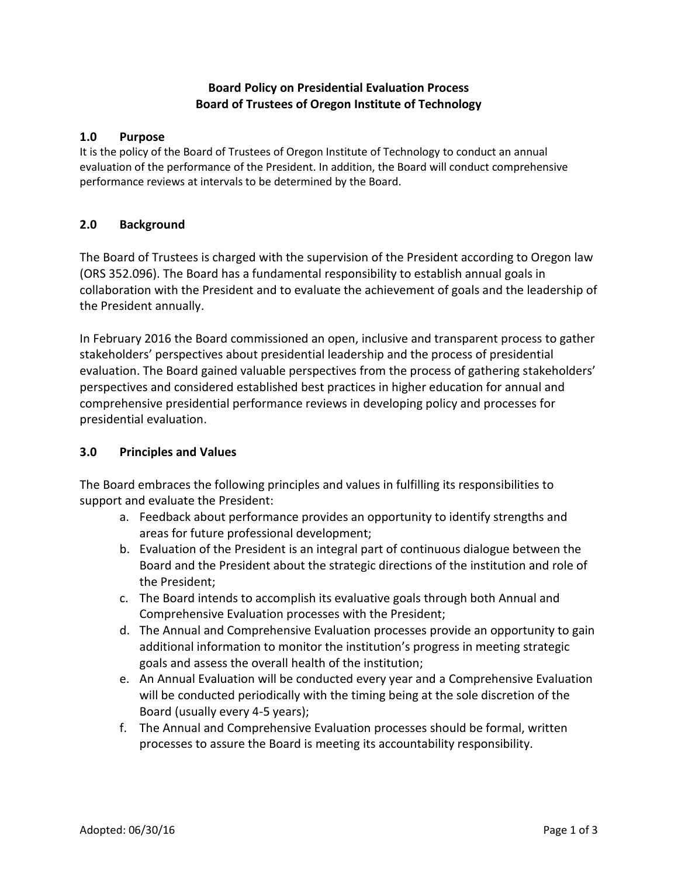# **Board Policy on Presidential Evaluation Process Board of Trustees of Oregon Institute of Technology**

#### **1.0 Purpose**

It is the policy of the Board of Trustees of Oregon Institute of Technology to conduct an annual evaluation of the performance of the President. In addition, the Board will conduct comprehensive performance reviews at intervals to be determined by the Board.

#### **2.0 Background**

The Board of Trustees is charged with the supervision of the President according to Oregon law (ORS 352.096). The Board has a fundamental responsibility to establish annual goals in collaboration with the President and to evaluate the achievement of goals and the leadership of the President annually.

In February 2016 the Board commissioned an open, inclusive and transparent process to gather stakeholders' perspectives about presidential leadership and the process of presidential evaluation. The Board gained valuable perspectives from the process of gathering stakeholders' perspectives and considered established best practices in higher education for annual and comprehensive presidential performance reviews in developing policy and processes for presidential evaluation.

#### **3.0 Principles and Values**

The Board embraces the following principles and values in fulfilling its responsibilities to support and evaluate the President:

- a. Feedback about performance provides an opportunity to identify strengths and areas for future professional development;
- b. Evaluation of the President is an integral part of continuous dialogue between the Board and the President about the strategic directions of the institution and role of the President;
- c. The Board intends to accomplish its evaluative goals through both Annual and Comprehensive Evaluation processes with the President;
- d. The Annual and Comprehensive Evaluation processes provide an opportunity to gain additional information to monitor the institution's progress in meeting strategic goals and assess the overall health of the institution;
- e. An Annual Evaluation will be conducted every year and a Comprehensive Evaluation will be conducted periodically with the timing being at the sole discretion of the Board (usually every 4-5 years);
- f. The Annual and Comprehensive Evaluation processes should be formal, written processes to assure the Board is meeting its accountability responsibility.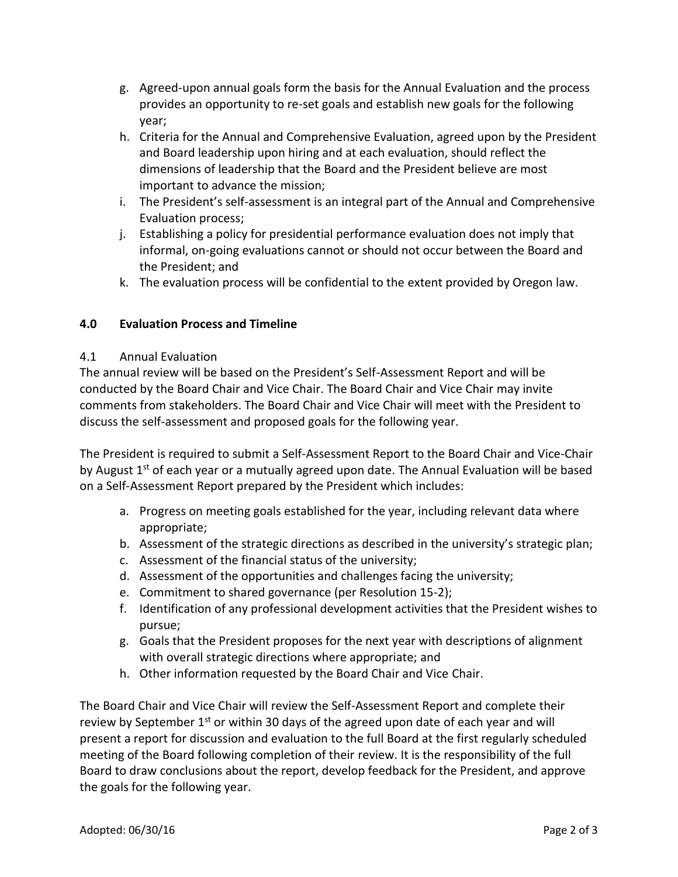- g. Agreed-upon annual goals form the basis for the Annual Evaluation and the process provides an opportunity to re-set goals and establish new goals for the following year;
- h. Criteria for the Annual and Comprehensive Evaluation, agreed upon by the President and Board leadership upon hiring and at each evaluation, should reflect the dimensions of leadership that the Board and the President believe are most important to advance the mission;
- i. The President's self-assessment is an integral part of the Annual and Comprehensive Evaluation process;
- j. Establishing a policy for presidential performance evaluation does not imply that informal, on-going evaluations cannot or should not occur between the Board and the President; and
- k. The evaluation process will be confidential to the extent provided by Oregon law.

# **4.0 Evaluation Process and Timeline**

#### 4.1 Annual Evaluation

The annual review will be based on the President's Self-Assessment Report and will be conducted by the Board Chair and Vice Chair. The Board Chair and Vice Chair may invite comments from stakeholders. The Board Chair and Vice Chair will meet with the President to discuss the self-assessment and proposed goals for the following year.

The President is required to submit a Self-Assessment Report to the Board Chair and Vice-Chair by August  $1<sup>st</sup>$  of each year or a mutually agreed upon date. The Annual Evaluation will be based on a Self-Assessment Report prepared by the President which includes:

- a. Progress on meeting goals established for the year, including relevant data where appropriate;
- b. Assessment of the strategic directions as described in the university's strategic plan;
- c. Assessment of the financial status of the university;
- d. Assessment of the opportunities and challenges facing the university;
- e. Commitment to shared governance (per Resolution 15-2);
- f. Identification of any professional development activities that the President wishes to pursue;
- g. Goals that the President proposes for the next year with descriptions of alignment with overall strategic directions where appropriate; and
- h. Other information requested by the Board Chair and Vice Chair.

The Board Chair and Vice Chair will review the Self-Assessment Report and complete their review by September 1<sup>st</sup> or within 30 days of the agreed upon date of each year and will present a report for discussion and evaluation to the full Board at the first regularly scheduled meeting of the Board following completion of their review. It is the responsibility of the full Board to draw conclusions about the report, develop feedback for the President, and approve the goals for the following year.